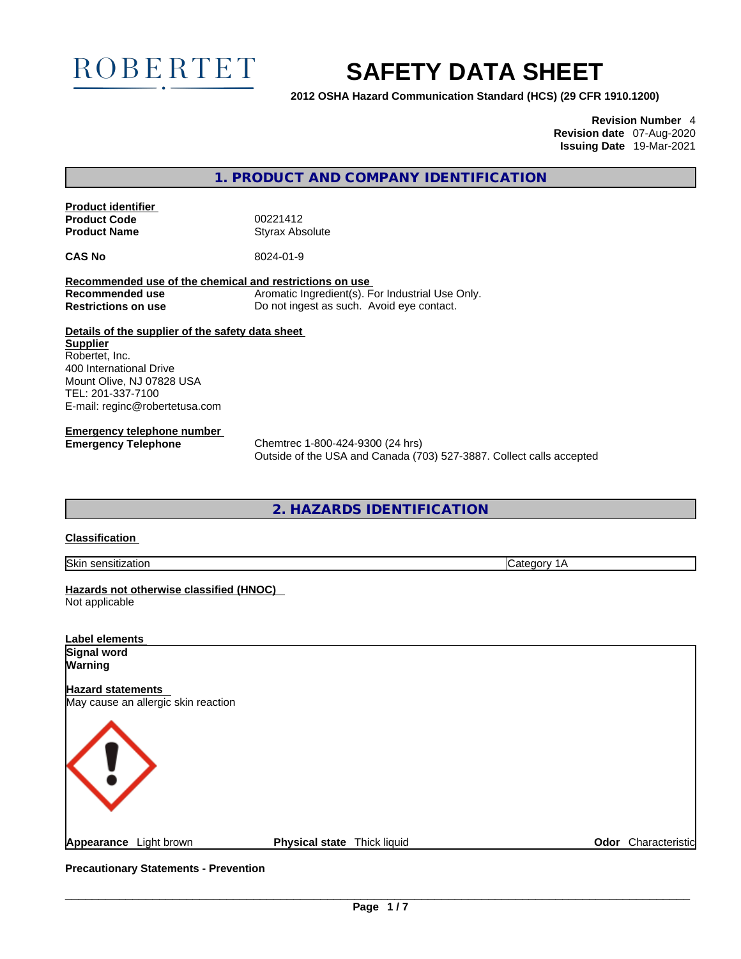

# **SAFETY DATA SHEET**

**2012 OSHA Hazard Communication Standard (HCS) (29 CFR 1910.1200)**

**Revision Number** 4 **Revision date** 07-Aug-2020 **Issuing Date** 19-Mar-2021

**1. PRODUCT AND COMPANY IDENTIFICATION** 

**Product identifier Product Code** 00221412<br> **Product Name** Styrax Abs

**Styrax Absolute** 

**CAS No** 8024-01-9

**Recommended use of the chemical and restrictions on use Recommended use** Aromatic Ingredient(s). For Industrial Use Only. **Restrictions on use** Do not ingest as such. Avoid eye contact.

**Details of the supplier of the safety data sheet Supplier** Robertet, Inc. 400 International Drive Mount Olive, NJ 07828 USA TEL: 201-337-7100 E-mail: reginc@robertetusa.com

**Emergency telephone number**

**Emergency Telephone** Chemtrec 1-800-424-9300 (24 hrs) Outside of the USA and Canada (703) 527-3887. Collect calls accepted

**2. HAZARDS IDENTIFICATION** 

### **Classification**

Skin sensitization Category 1A

**Hazards not otherwise classified (HNOC)**  Not applicable

| <b>Label elements</b>                                           |                             |  |                     |
|-----------------------------------------------------------------|-----------------------------|--|---------------------|
| Signal word                                                     |                             |  |                     |
| Warning                                                         |                             |  |                     |
| <b>Hazard statements</b><br>May cause an allergic skin reaction |                             |  |                     |
| <b>KU</b>                                                       |                             |  |                     |
| Appearance Light brown                                          | Physical state Thick liquid |  | Odor Characteristic |

**Precautionary Statements - Prevention**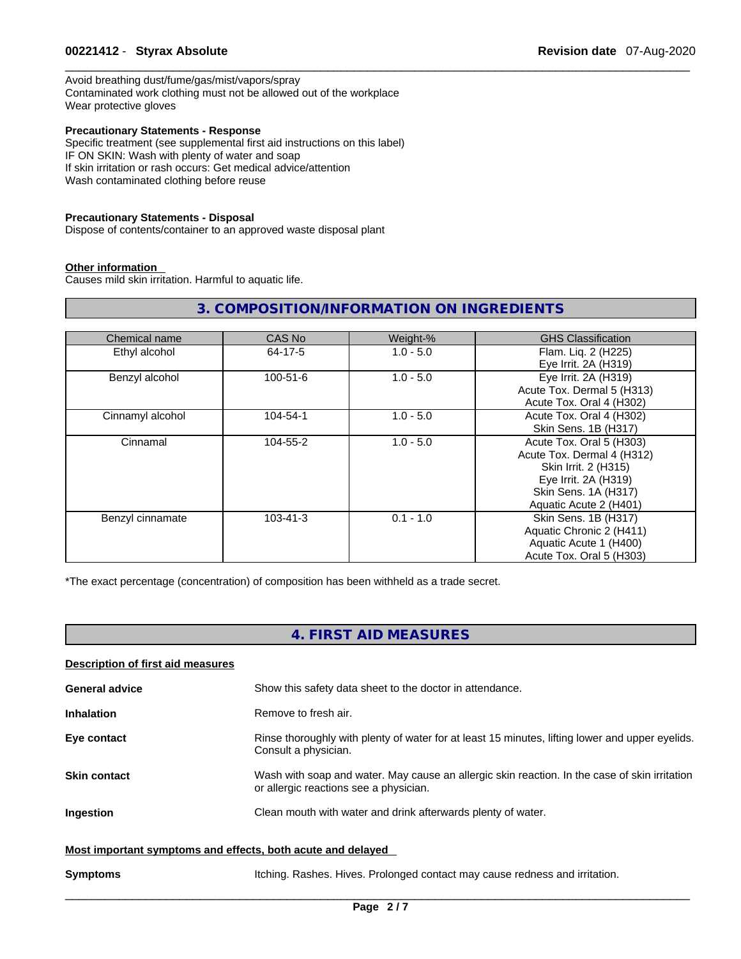### \_\_\_\_\_\_\_\_\_\_\_\_\_\_\_\_\_\_\_\_\_\_\_\_\_\_\_\_\_\_\_\_\_\_\_\_\_\_\_\_\_\_\_\_\_\_\_\_\_\_\_\_\_\_\_\_\_\_\_\_\_\_\_\_\_\_\_\_\_\_\_\_\_\_\_\_\_\_\_\_\_\_\_\_\_\_\_\_\_\_\_\_\_ **00221412** - **Styrax Absolute Revision date** 07-Aug-2020

Avoid breathing dust/fume/gas/mist/vapors/spray Contaminated work clothing must not be allowed out of the workplace Wear protective gloves

### **Precautionary Statements - Response**

Specific treatment (see supplemental first aid instructions on this label) IF ON SKIN: Wash with plenty of water and soap If skin irritation or rash occurs: Get medical advice/attention Wash contaminated clothing before reuse

### **Precautionary Statements - Disposal**

Dispose of contents/container to an approved waste disposal plant

### **Other information**

Causes mild skin irritation. Harmful to aquatic life.

## **3. COMPOSITION/INFORMATION ON INGREDIENTS**

| Chemical name    | CAS No         | Weight-%    | <b>GHS Classification</b>  |
|------------------|----------------|-------------|----------------------------|
| Ethyl alcohol    | 64-17-5        | $1.0 - 5.0$ | Flam. Liq. 2 (H225)        |
|                  |                |             | Eye Irrit. 2A (H319)       |
| Benzyl alcohol   | $100 - 51 - 6$ | $1.0 - 5.0$ | Eye Irrit. 2A (H319)       |
|                  |                |             | Acute Tox. Dermal 5 (H313) |
|                  |                |             | Acute Tox. Oral 4 (H302)   |
| Cinnamyl alcohol | 104-54-1       | $1.0 - 5.0$ | Acute Tox. Oral 4 (H302)   |
|                  |                |             | Skin Sens. 1B (H317)       |
| Cinnamal         | 104-55-2       | $1.0 - 5.0$ | Acute Tox. Oral 5 (H303)   |
|                  |                |             | Acute Tox. Dermal 4 (H312) |
|                  |                |             | Skin Irrit. 2 (H315)       |
|                  |                |             | Eye Irrit. 2A (H319)       |
|                  |                |             | Skin Sens. 1A (H317)       |
|                  |                |             | Aquatic Acute 2 (H401)     |
| Benzyl cinnamate | $103 - 41 - 3$ | $0.1 - 1.0$ | Skin Sens. 1B (H317)       |
|                  |                |             | Aquatic Chronic 2 (H411)   |
|                  |                |             | Aquatic Acute 1 (H400)     |
|                  |                |             | Acute Tox. Oral 5 (H303)   |

\*The exact percentage (concentration) of composition has been withheld as a trade secret.

## **4. FIRST AID MEASURES**

| Description of first aid measures                           |                                                                                                                                         |
|-------------------------------------------------------------|-----------------------------------------------------------------------------------------------------------------------------------------|
| <b>General advice</b>                                       | Show this safety data sheet to the doctor in attendance.                                                                                |
| <b>Inhalation</b>                                           | Remove to fresh air.                                                                                                                    |
| Eye contact                                                 | Rinse thoroughly with plenty of water for at least 15 minutes, lifting lower and upper eyelids.<br>Consult a physician.                 |
| <b>Skin contact</b>                                         | Wash with soap and water. May cause an allergic skin reaction. In the case of skin irritation<br>or allergic reactions see a physician. |
| <b>Ingestion</b>                                            | Clean mouth with water and drink afterwards plenty of water.                                                                            |
| Most important symptoms and effects, both acute and delayed |                                                                                                                                         |
| <b>Symptoms</b>                                             | Itching. Rashes. Hives. Prolonged contact may cause redness and irritation.                                                             |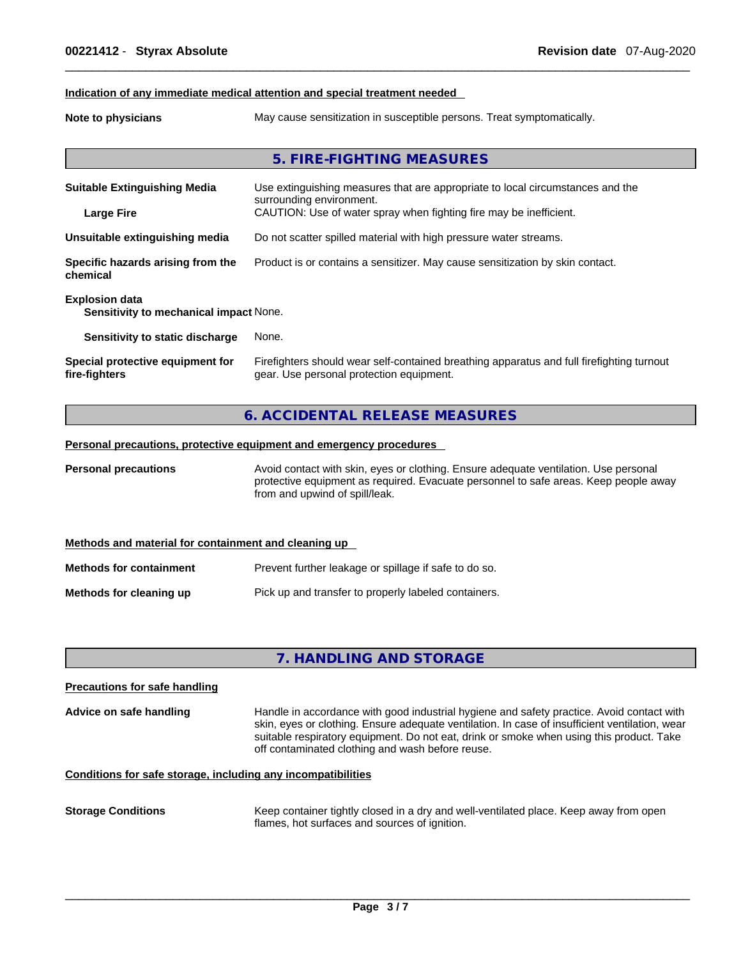### **Indication of any immediate medical attention and special treatment needed**

**Note to physicians** May cause sensitization in susceptible persons. Treat symptomatically.

## **5. FIRE-FIGHTING MEASURES**

| <b>Suitable Extinguishing Media</b><br><b>Large Fire</b>        | Use extinguishing measures that are appropriate to local circumstances and the<br>surrounding environment.<br>CAUTION: Use of water spray when fighting fire may be inefficient. |
|-----------------------------------------------------------------|----------------------------------------------------------------------------------------------------------------------------------------------------------------------------------|
|                                                                 |                                                                                                                                                                                  |
| Unsuitable extinguishing media                                  | Do not scatter spilled material with high pressure water streams.                                                                                                                |
| Specific hazards arising from the<br>chemical                   | Product is or contains a sensitizer. May cause sensitization by skin contact.                                                                                                    |
| <b>Explosion data</b><br>Sensitivity to mechanical impact None. |                                                                                                                                                                                  |
| Sensitivity to static discharge                                 | None.                                                                                                                                                                            |
| Special protective equipment for<br>fire-fighters               | Firefighters should wear self-contained breathing apparatus and full firefighting turnout<br>gear. Use personal protection equipment.                                            |

### **6. ACCIDENTAL RELEASE MEASURES**

### **Personal precautions, protective equipment and emergency procedures**

**Personal precautions** Avoid contact with skin, eyes or clothing. Ensure adequate ventilation. Use personal protective equipment as required. Evacuate personnel to safe areas. Keep people away from and upwind of spill/leak.

|                                | Methods and material for containment and cleaning up  |  |
|--------------------------------|-------------------------------------------------------|--|
| <b>Methods for containment</b> | Prevent further leakage or spillage if safe to do so. |  |
| Methods for cleaning up        | Pick up and transfer to properly labeled containers.  |  |

## **7. HANDLING AND STORAGE**

| <b>Precautions for safe handling</b>                         |                                                                                                                                                                                                                                                                                                                                             |
|--------------------------------------------------------------|---------------------------------------------------------------------------------------------------------------------------------------------------------------------------------------------------------------------------------------------------------------------------------------------------------------------------------------------|
| Advice on safe handling                                      | Handle in accordance with good industrial hygiene and safety practice. Avoid contact with<br>skin, eyes or clothing. Ensure adequate ventilation. In case of insufficient ventilation, wear<br>suitable respiratory equipment. Do not eat, drink or smoke when using this product. Take<br>off contaminated clothing and wash before reuse. |
| Conditions for safe storage, including any incompatibilities |                                                                                                                                                                                                                                                                                                                                             |

**Storage Conditions** Keep container tightly closed in a dry and well-ventilated place. Keep away from open flames, hot surfaces and sources of ignition.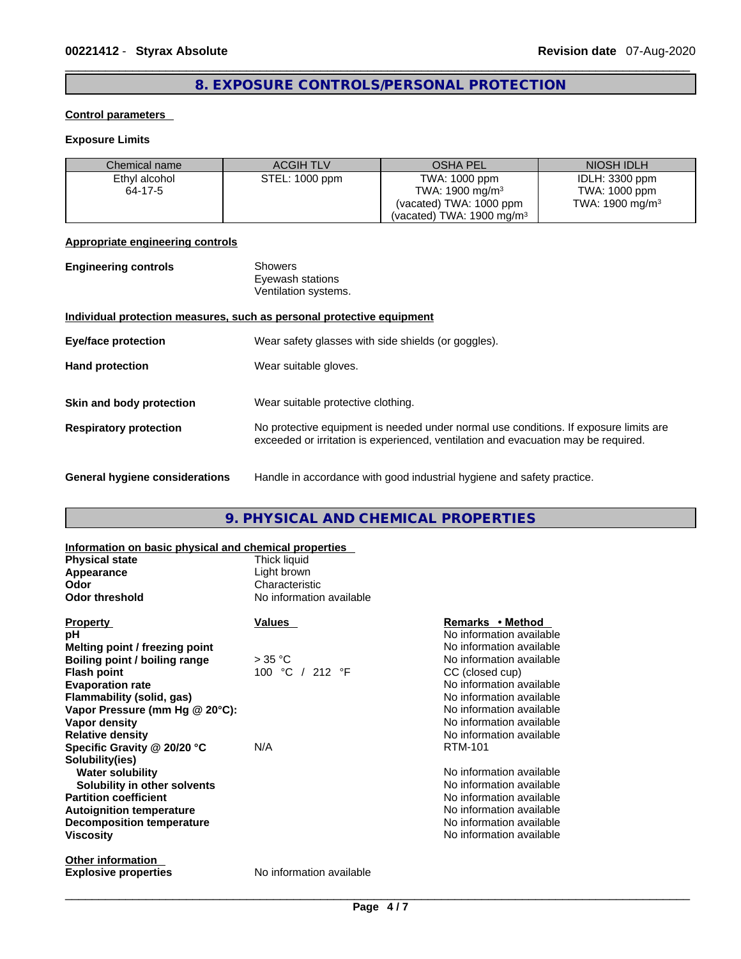## **8. EXPOSURE CONTROLS/PERSONAL PROTECTION**

### **Control parameters**

## **Exposure Limits**

| Chemical name | <b>ACGIH TLV</b> | <b>OSHA PEL</b>                      | NIOSH IDLH                  |
|---------------|------------------|--------------------------------------|-----------------------------|
| Ethyl alcohol | STEL: 1000 ppm   | TWA: 1000 ppm                        | IDLH: 3300 ppm              |
| 64-17-5       |                  | TWA: $1900 \text{ mg/m}^3$           | TWA: 1000 ppm               |
|               |                  | (vacated) TWA: 1000 ppm              | TWA: 1900 mg/m <sup>3</sup> |
|               |                  | (vacated) TWA: $1900 \text{ mg/m}^3$ |                             |

### **Appropriate engineering controls**

| <b>Engineering controls</b> | Showers              |  |
|-----------------------------|----------------------|--|
|                             | Eyewash stations     |  |
|                             | Ventilation systems. |  |
|                             |                      |  |

### **Individual protection measures, such as personal protective equipment**

| <b>Eye/face protection</b>     | Wear safety glasses with side shields (or goggles).                                                                                                                         |
|--------------------------------|-----------------------------------------------------------------------------------------------------------------------------------------------------------------------------|
| <b>Hand protection</b>         | Wear suitable gloves.                                                                                                                                                       |
| Skin and body protection       | Wear suitable protective clothing.                                                                                                                                          |
| <b>Respiratory protection</b>  | No protective equipment is needed under normal use conditions. If exposure limits are<br>exceeded or irritation is experienced, ventilation and evacuation may be required. |
| General hygiene considerations | Handle in accordance with good industrial hygiene and safety practice.                                                                                                      |

## **9. PHYSICAL AND CHEMICAL PROPERTIES**

| Information on basic physical and chemical properties |                          |                          |
|-------------------------------------------------------|--------------------------|--------------------------|
| <b>Physical state</b>                                 | Thick liquid             |                          |
| Appearance                                            | Light brown              |                          |
| Odor                                                  | Characteristic           |                          |
| <b>Odor threshold</b>                                 | No information available |                          |
| <b>Property</b>                                       | Values                   | Remarks • Method         |
| рH                                                    |                          | No information available |
| Melting point / freezing point                        |                          | No information available |
| Boiling point / boiling range                         | $>$ 35 °C                | No information available |
| <b>Flash point</b>                                    | 100 °C / 212 °F          | CC (closed cup)          |
| <b>Evaporation rate</b>                               |                          | No information available |
| Flammability (solid, gas)                             |                          | No information available |
| Vapor Pressure (mm Hg @ 20°C):                        |                          | No information available |
| Vapor density                                         |                          | No information available |
| <b>Relative density</b>                               |                          | No information available |
| Specific Gravity @ 20/20 °C                           | N/A                      | <b>RTM-101</b>           |
| Solubility(ies)                                       |                          |                          |
| <b>Water solubility</b>                               |                          | No information available |
| Solubility in other solvents                          |                          | No information available |
| <b>Partition coefficient</b>                          |                          | No information available |
| <b>Autoignition temperature</b>                       |                          | No information available |
| <b>Decomposition temperature</b>                      |                          | No information available |
| <b>Viscosity</b>                                      |                          | No information available |
| <b>Other information</b>                              |                          |                          |
| <b>Explosive properties</b>                           | No information available |                          |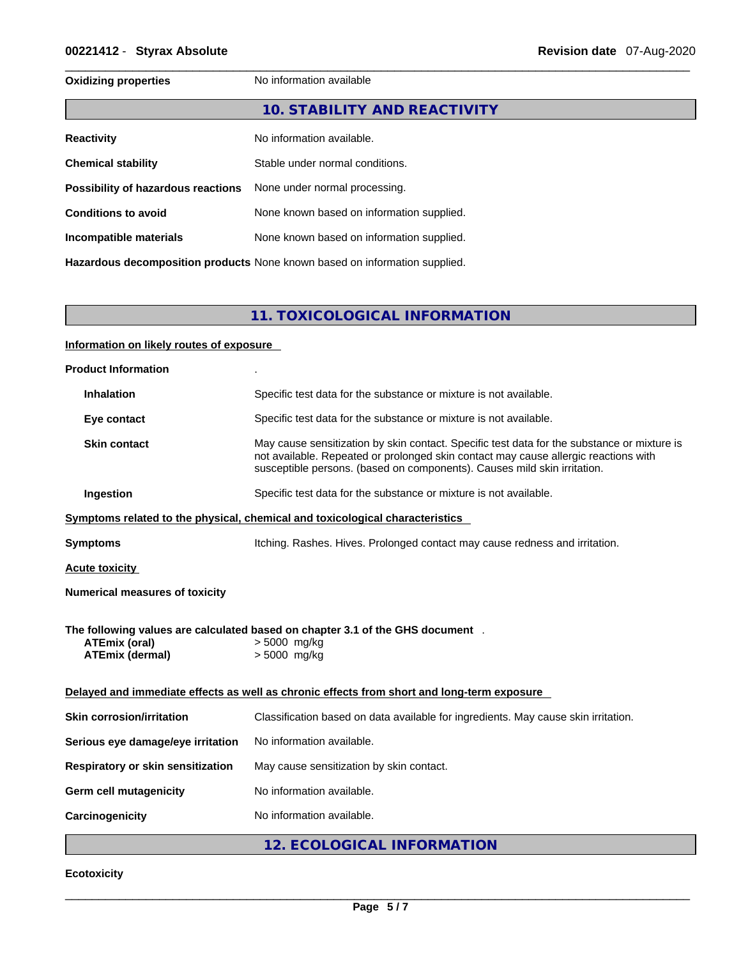## **Oxidizing properties** No information available **10. STABILITY AND REACTIVITY Reactivity No information available. Chemical stability** Stable under normal conditions. **Possibility of hazardous reactions** None under normal processing. **Conditions to avoid** None known based on information supplied. **Incompatible materials** None known based on information supplied. **Hazardous decomposition products** None known based on information supplied.

**11. TOXICOLOGICAL INFORMATION** 

### **Information on likely routes of exposure**

| <b>Product Information</b>                     |                                                                                                                                                                                                                                                                |
|------------------------------------------------|----------------------------------------------------------------------------------------------------------------------------------------------------------------------------------------------------------------------------------------------------------------|
| <b>Inhalation</b>                              | Specific test data for the substance or mixture is not available.                                                                                                                                                                                              |
| Eye contact                                    | Specific test data for the substance or mixture is not available.                                                                                                                                                                                              |
| <b>Skin contact</b>                            | May cause sensitization by skin contact. Specific test data for the substance or mixture is<br>not available. Repeated or prolonged skin contact may cause allergic reactions with<br>susceptible persons. (based on components). Causes mild skin irritation. |
| Ingestion                                      | Specific test data for the substance or mixture is not available.                                                                                                                                                                                              |
|                                                | Symptoms related to the physical, chemical and toxicological characteristics                                                                                                                                                                                   |
| <b>Symptoms</b>                                | Itching. Rashes. Hives. Prolonged contact may cause redness and irritation.                                                                                                                                                                                    |
| <b>Acute toxicity</b>                          |                                                                                                                                                                                                                                                                |
| <b>Numerical measures of toxicity</b>          |                                                                                                                                                                                                                                                                |
| <b>ATEmix (oral)</b><br><b>ATEmix (dermal)</b> | The following values are calculated based on chapter 3.1 of the GHS document.<br>> 5000 mg/kg<br>> 5000 mg/kg                                                                                                                                                  |
|                                                | Delayed and immediate effects as well as chronic effects from short and long-term exposure                                                                                                                                                                     |
| <b>Skin corrosion/irritation</b>               | Classification based on data available for ingredients. May cause skin irritation.                                                                                                                                                                             |
| Serious eye damage/eye irritation              | No information available.                                                                                                                                                                                                                                      |
| <b>Respiratory or skin sensitization</b>       | May cause sensitization by skin contact.                                                                                                                                                                                                                       |
| <b>Germ cell mutagenicity</b>                  | No information available.                                                                                                                                                                                                                                      |
| Carcinogenicity                                | No information available.                                                                                                                                                                                                                                      |
|                                                | 12. ECOLOGICAL INFORMATION                                                                                                                                                                                                                                     |

### **Ecotoxicity**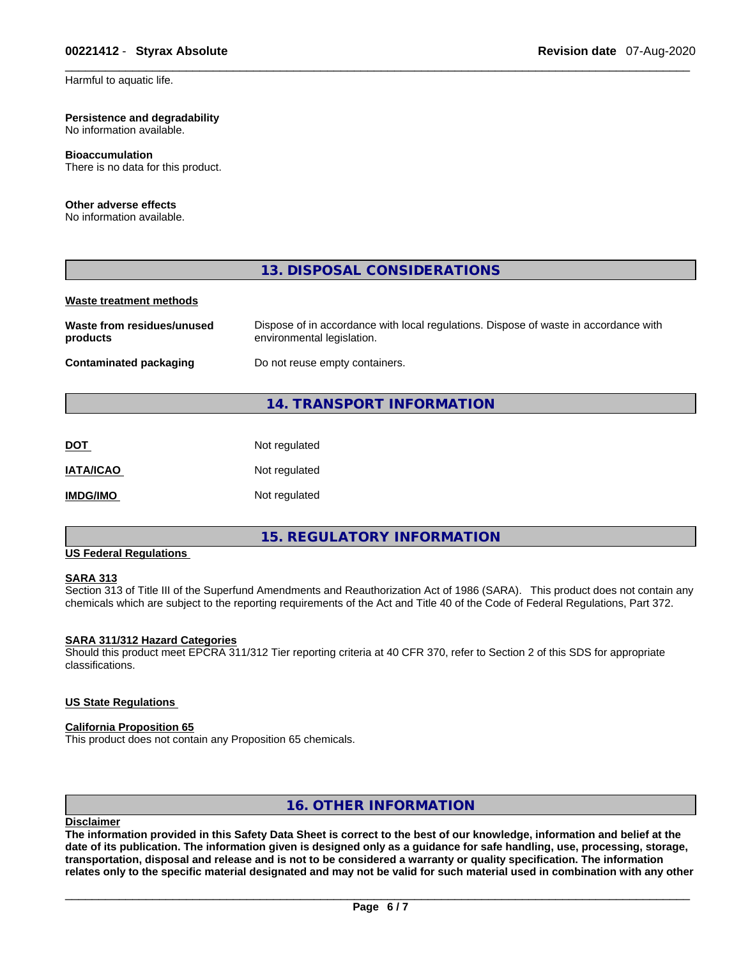#### **Persistence and degradability** No information available.

## **Bioaccumulation**

There is no data for this product.

### **Other adverse effects**

No information available.

### **13. DISPOSAL CONSIDERATIONS**

### **Waste treatment methods**

| Waste from residues/unused    | Dispose of in accordance with local regulations. Dispose of waste in accordance with |
|-------------------------------|--------------------------------------------------------------------------------------|
| products                      | environmental legislation.                                                           |
| <b>Contaminated packaging</b> | Do not reuse empty containers.                                                       |

## **14. TRANSPORT INFORMATION**

| <b>DOT</b>       | Not regulated |
|------------------|---------------|
| <b>IATA/ICAO</b> | Not regulated |
| <b>IMDG/IMO</b>  | Not regulated |

### **15. REGULATORY INFORMATION**

## **US Federal Regulations**

### **SARA 313**

Section 313 of Title III of the Superfund Amendments and Reauthorization Act of 1986 (SARA). This product does not contain any chemicals which are subject to the reporting requirements of the Act and Title 40 of the Code of Federal Regulations, Part 372.

### **SARA 311/312 Hazard Categories**

Should this product meet EPCRA 311/312 Tier reporting criteria at 40 CFR 370, refer to Section 2 of this SDS for appropriate classifications.

### **US State Regulations**

### **California Proposition 65**

This product does not contain any Proposition 65 chemicals.

### **16. OTHER INFORMATION**

### **Disclaimer**

The information provided in this Safety Data Sheet is correct to the best of our knowledge, information and belief at the date of its publication. The information given is designed only as a guidance for safe handling, use, processing, storage, transportation, disposal and release and is not to be considered a warranty or quality specification. The information relates only to the specific material designated and may not be valid for such material used in combination with any other